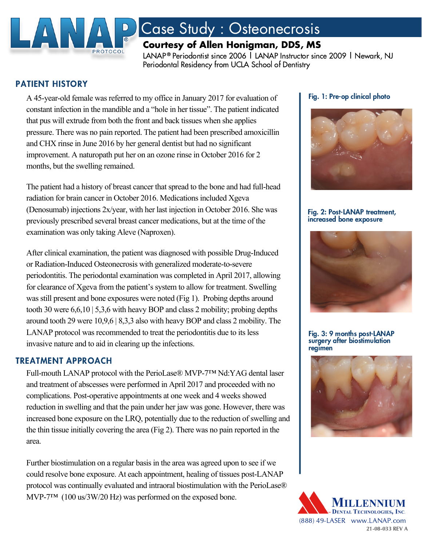

# Case Study : Osteonecrosis

## Courtesy of Allen Honigman, DDS, MS

LANAP® Periodontist since 2006 | LANAP Instructor since 2009 | Newark, NJ Periodontal Residency from UCLA School of Dentistry

## PATIENT HISTORY

A 45-year-old female was referred to my office in January 2017 for evaluation of constant infection in the mandible and a "hole in her tissue". The patient indicated that pus will extrude from both the front and back tissues when she applies pressure. There was no pain reported. The patient had been prescribed amoxicillin and CHX rinse in June 2016 by her general dentist but had no significant improvement. A naturopath put her on an ozone rinse in October 2016 for 2 months, but the swelling remained.

The patient had a history of breast cancer that spread to the bone and had full-head radiation for brain cancer in October 2016. Medications included Xgeva (Denosumab) injections 2x/year, with her last injection in October 2016. She was previously prescribed several breast cancer medications, but at the time of the examination was only taking Aleve (Naproxen).

After clinical examination, the patient was diagnosed with possible Drug-Induced or Radiation-Induced Osteonecrosis with generalized moderate-to-severe periodontitis. The periodontal examination was completed in April 2017, allowing for clearance of Xgeva from the patient's system to allow for treatment. Swelling was still present and bone exposures were noted (Fig 1). Probing depths around tooth 30 were 6,6,10 | 5,3,6 with heavy BOP and class 2 mobility; probing depths around tooth 29 were 10,9,6 | 8,3,3 also with heavy BOP and class 2 mobility. The LANAP protocol was recommended to treat the periodontitis due to its less invasive nature and to aid in clearing up the infections.

## TREATMENT APPROACH

Full-mouth LANAP protocol with the PerioLase® MVP-7™ Nd:YAG dental laser and treatment of abscesses were performed in April 2017 and proceeded with no complications. Post-operative appointments at one week and 4 weeks showed reduction in swelling and that the pain under her jaw was gone. However, there was increased bone exposure on the LRQ, potentially due to the reduction of swelling and the thin tissue initially covering the area (Fig 2). There was no pain reported in the area.

Further biostimulation on a regular basis in the area was agreed upon to see if we could resolve bone exposure. At each appointment, healing of tissues post-LANAP protocol was continually evaluated and intraoral biostimulation with the PerioLase® MVP-7™ (100 us/3W/20 Hz) was performed on the exposed bone.

## Fig. 1: Pre-op clinical photo



#### Fig. 2: Post-LANAP treatment, increased bone exposure



Fig. 3: 9 months post-LANAP surgery after biostimulation regimen